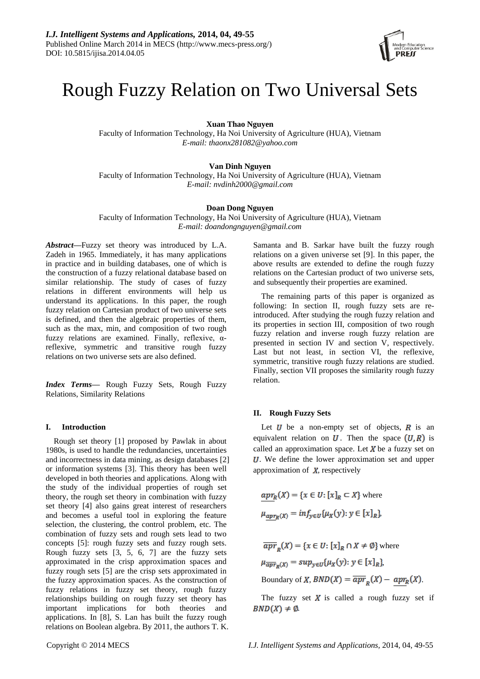

# Rough Fuzzy Relation on Two Universal Sets

**Xuan Thao Nguyen**

Faculty of Information Technology, Ha Noi University of Agriculture (HUA), Vietnam *E-mail: thaonx281082@yahoo.com*

# **Van Dinh Nguyen**

Faculty of Information Technology, Ha Noi University of Agriculture (HUA), Vietnam *E-mail: nvdinh2000@gmail.com*

# **Doan Dong Nguyen**

Faculty of Information Technology, Ha Noi University of Agriculture (HUA), Vietnam *E-mail: doandongnguyen@gmail.com*

*Abstract***—**Fuzzy set theory was introduced by L.A. Zadeh in 1965. Immediately, it has many applications in practice and in building databases, one of which is the construction of a fuzzy relational database based on similar relationship. The study of cases of fuzzy relations in different environments will help us understand its applications. In this paper, the rough fuzzy relation on Cartesian product of two universe sets is defined, and then the algebraic properties of them, such as the max, min, and composition of two rough fuzzy relations are examined. Finally, reflexive, αreflexive, symmetric and transitive rough fuzzy relations on two universe sets are also defined.

*Index Terms***—** Rough Fuzzy Sets, Rough Fuzzy Relations, Similarity Relations

#### **I. Introduction**

Rough set theory [1] proposed by Pawlak in about 1980s, is used to handle the redundancies, uncertainties and incorrectness in data mining, as design databases [2] or information systems [3]. This theory has been well developed in both theories and applications. Along with the study of the individual properties of rough set theory, the rough set theory in combination with fuzzy set theory [4] also gains great interest of researchers and becomes a useful tool in exploring the feature selection, the clustering, the control problem, etc. The combination of fuzzy sets and rough sets lead to two concepts [5]: rough fuzzy sets and fuzzy rough sets. Rough fuzzy sets [3, 5, 6, 7] are the fuzzy sets approximated in the crisp approximation spaces and fuzzy rough sets [5] are the crisp sets approximated in the fuzzy approximation spaces. As the construction of fuzzy relations in fuzzy set theory, rough fuzzy relationships building on rough fuzzy set theory has important implications for both theories and applications. In [8], S. Lan has built the fuzzy rough relations on Boolean algebra. By 2011, the authors T. K.

Samanta and B. Sarkar have built the fuzzy rough relations on a given universe set [9]. In this paper, the above results are extended to define the rough fuzzy relations on the Cartesian product of two universe sets, and subsequently their properties are examined.

The remaining parts of this paper is organized as following: In section II, rough fuzzy sets are reintroduced. After studying the rough fuzzy relation and its properties in section III, composition of two rough fuzzy relation and inverse rough fuzzy relation are presented in section IV and section V, respectively. Last but not least, in section VI, the reflexive, symmetric, transitive rough fuzzy relations are studied. Finally, section VII proposes the similarity rough fuzzy relation.

#### **II. Rough Fuzzy Sets**

Let  $U$  be a non-empty set of objects,  $R$  is an equivalent relation on  $U$ . Then the space  $(U, R)$  is called an approximation space. Let  $X$  be a fuzzy set on U. We define the lower approximation set and upper approximation of  $\chi$ , respectively

 $apr_R(X) = \{x \in U : [x]_R \subset X\}$  where  $\mu_{apr_R(X)} = inf_{y \in U} {\mu_X(y) : y \in [x]_R},$ 

 $\overline{apr}_n(X) = \{x \in U : [x]_R \cap X \neq \emptyset \}$  where  $\mu_{\overline{apr}_R(X)} = sup_{y \in U} {\mu_X(y): y \in [x]_R},$ 

Boundary of X,  $BND(X) = \overline{apr}_p(X) - apr_R(X)$ .

The fuzzy set  $X$  is called a rough fuzzy set if  $BND(X) \neq \emptyset$ .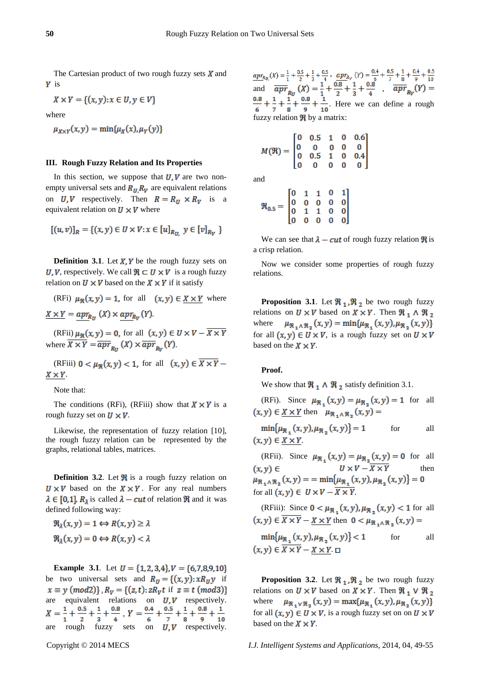The Cartesian product of two rough fuzzy sets  $X$  and  $Y$  is

$$
X \times Y = \{(x, y) : x \in U, y \in V\}
$$

where

 $\mu_{X\times Y}(x, y) = \min{\mu_X(x), \mu_Y(y)}$ 

#### **III. Rough Fuzzy Relation and Its Properties**

In this section, we suppose that  $U, V$  are two nonempty universal sets and  $R_U, R_V$  are equivalent relations on  $U, V$  respectively. Then  $R = R_U \times R_V$  is a equivalent relation on  $U \times V$  where

$$
[(u, v)]_R = \{(x, y) \in U \times V : x \in [u]_{R_U}, y \in [v]_{R_V}\}
$$

**Definition 3.1.** Let  $X, Y$  be the rough fuzzy sets on U, V, respectively. We call  $\mathbb{R} \subset U \times V$  is a rough fuzzy relation on  $U \times V$  based on the  $X \times Y$  if it satisfy

(RFi) 
$$
\mu_{\mathfrak{R}}(x, y) = 1
$$
, for all  $(x, y) \in \underline{X \times Y}$  where  $\underline{X \times Y} = \underline{apr}_{R_y}(X) \times \underline{ apr}_{R_y}(Y)$ .

(RFii)  $\mu_{\Re}(x, y) = 0$ , for all  $(x, y) \in U \times V - \overline{X \times Y}$ where  $\overline{X \times Y} = \overline{apr}_{R_H}(X) \times \overline{apr}_{R_H}(Y)$ .

(RFiii)  $0 < \mu_{\mathcal{R}}(x, y) < 1$ , for all  $(x, y) \in \overline{X \times Y}$  $X \times Y$ .

Note that:

The conditions (RFi), (RFiii) show that  $X \times Y$  is a rough fuzzy set on  $U \times V$ .

Likewise, the representation of fuzzy relation [10], the rough fuzzy relation can be represented by the graphs, relational tables, matrices.

**Definition 3.2.** Let  $\mathbb{R}$  is a rough fuzzy relation on  $U \times V$  based on the  $X \times Y$ . For any real numbers  $\lambda \in [0,1], R_1$  is called  $\lambda - cut$  of relation  $\Re$  and it was defined following way:

$$
\mathfrak{R}_{\lambda}(x, y) = 1 \Longleftrightarrow R(x, y) \ge \lambda
$$
  

$$
\mathfrak{R}_{\lambda}(x, y) = 0 \Longleftrightarrow R(x, y) < \lambda
$$

**Example** 3.1. Let  $U = \{1, 2, 3, 4\}$ ,  $V = \{6, 7, 8, 9, 10\}$ be two universal sets and  $R_U = \{(x, y): xR_U y \text{ if }$  $x \equiv y \pmod{2}$ ,  $R_v = \{(z, t): zR_v t \text{ if } z \equiv t \pmod{3}\}$ are equivalent relations on  $U, V$  respectively. , are rough fuzzy sets on  $U, V$  respectively.

, and  $\overline{apr}_n(X) = \frac{1}{7} + \frac{0.6}{0.8} + \frac{1}{8} + \frac{0.6}{1.8}$ , . Here we can define a rough fuzzy relation  $\Re$  by a matrix:

$$
M(\mathfrak{R}) = \begin{bmatrix} 0 & 0.5 & 1 & 0 & 0.6 \\ 0 & 0 & 0 & 0 & 0 \\ 0 & 0.5 & 1 & 0 & 0.4 \\ 0 & 0 & 0 & 0 & 0 \end{bmatrix}
$$
and

a

$$
\mathfrak{R}_{0.5}=\begin{bmatrix}0&1&1&0&1\\0&0&0&0&0\\0&1&1&0&0\\0&0&0&0&0\end{bmatrix}
$$

We can see that  $\lambda - cut$  of rough fuzzy relation  $\Re$  is a crisp relation.

Now we consider some properties of rough fuzzy relations.

**Proposition 3.1**. Let  $\mathbb{R}_1$ ,  $\mathbb{R}_2$  be two rough fuzzy relations on  $U \times V$  based on  $X \times Y$ . Then  $\Re_1 \wedge \Re_2$ where  $\mu_{\Re_1 \wedge \Re_2}(x, y) = \min{\mu_{\Re_1}(x, y), \mu_{\Re_2}(x, y)}$ for all  $(x, y) \in U \times V$ , is a rough fuzzy set on  $U \times V$ based on the  $X \times Y$ .

#### **Proof.**

We show that  $\Re_1 \wedge \Re_2$  satisfy definition 3.1.

(RFi). Since  $\mu_{\Re}$ ,  $(x,y) = \mu_{\Re}$ ,  $(x,y) = 1$  for all  $(x, y) \in X \times Y$  then  $\mu_{\Re, \Lambda \Re} (x, y) =$ 

 $min\{\mu_{\Re} (x, y), \mu_{\Re} (x, y)\} = 1$ for all  $(x, y) \in X \times Y$ 

(RFii). Since  $\mu_{\mathfrak{R}}(x,y) = \mu_{\mathfrak{R}}(x,y) = 0$  for all  $(x, y) \in$ then  $\mu_{\mathfrak{R}_{1}\wedge\mathfrak{R}_{2}}(x,y) = \min\{\mu_{\mathfrak{R}_{1}}(x,y),\mu_{\mathfrak{R}_{2}}(x,y)\}=0$ for all  $(x, y) \in U \times V - \overline{X \times Y}$ .

(RFiii): Since 
$$
0 < \mu_{\mathfrak{R}_1}(x, y), \mu_{\mathfrak{R}_2}(x, y) < 1
$$
 for all  $(x, y) \in \overline{X \times Y} - \underline{X \times Y}$  then  $0 < \mu_{\mathfrak{R}_1 \wedge \mathfrak{R}_2}(x, y) =$ \n $\min\{\mu_{\mathfrak{R}_1}(x, y), \mu_{\mathfrak{R}_2}(x, y)\} < 1$ \nfor all  $(x, y) \in \overline{X \times Y} - \underline{X \times Y}$ .  $\Box$ 

**Proposition 3.2.** Let  $\mathbb{R}_1$ ,  $\mathbb{R}_2$  be two rough fuzzy relations on  $U \times V$  based on  $X \times Y$ . Then  $\Re_1 V \Re_2$  $\mu_{\Re_1 V \Re_2}(x, y) = \max{\mu_{\Re_1}(x, y), \mu_{\Re_2}(x, y)}$ where for all  $(x, y) \in U \times V$ , is a rough fuzzy set on on  $U \times V$ based on the  $X \times Y$ .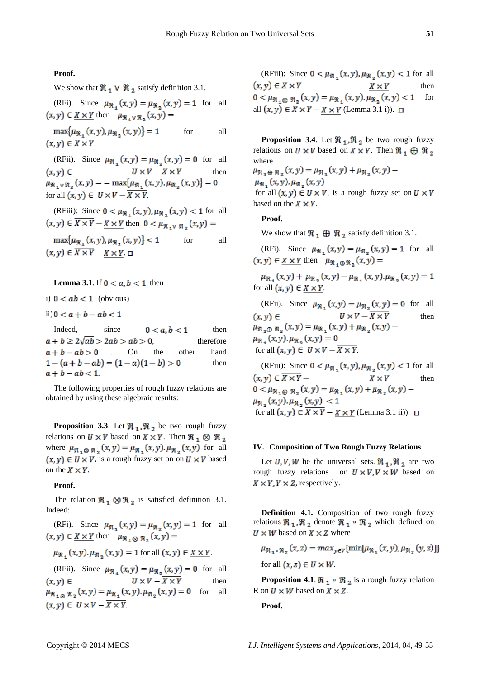**Proof.** 

We show that  $\Re_1 \vee \Re_2$  satisfy definition 3.1.

(RFi). Since 
$$
\mu_{\mathfrak{R}_1}(x, y) = \mu_{\mathfrak{R}_2}(x, y) = 1
$$
 for all  $(x, y) \in \underline{X \times Y}$  then  $\mu_{\mathfrak{R}_1 \vee \mathfrak{R}_2}(x, y) =$ 

 $max\{\mu_{\Re} (x, y), \mu_{\Re} (x, y)\} = 1$ for all  $(x, y) \in X \times Y$ 

(RFii). Since  $\mu_{\mathfrak{R}}(x,y) = \mu_{\mathfrak{R}}(x,y) = 0$  for all  $(x, y) \in$ then  $\mu_{\Re_1} \nu_{\Re_2}(x, y) = \max{\mu_{\Re_1}(x, y), \mu_{\Re_2}(x, y)} = 0$ for all  $(x, y) \in U \times V - \overline{X \times Y}$ .

(RFiii): Since  $0 < \mu_{\Re}$ ,  $(x, y)$ ,  $\mu_{\Re}$ ,  $(x, y) < 1$  for all  $(x,y) \in \overline{X \times Y} - \underline{X \times Y}$  then  $0 < \mu_{\Re, y} \Re(0, y) =$ 

 $\max\{\mu_{\Re} (x, y), \mu_{\Re} (x, y)\}$  < 1 for all  $(x, y) \in \overline{X \times Y} - X \times Y$ 

**Lemma 3.1.** If  $0 < a, b < 1$  then

i)  $0 < ab < 1$  (obvious)

ii)  $0 < a + b - ab < 1$ 

Indeed, since  $0 < a, b < 1$  then  $a+b \geq 2\sqrt{ab} > 2ab > ab > 0$ , therefore  $a + b - ab > 0$  . On the other hand  $1-(a+b-ab)=(1-a)(1-b)>0$ then  $a + b - ab < 1.$ 

The following properties of rough fuzzy relations are obtained by using these algebraic results:

**Proposition 3.3.** Let  $\mathbb{R}_1$ ,  $\mathbb{R}_2$  be two rough fuzzy relations on  $U \times V$  based on  $X \times Y$ . Then  $\Re_1 \otimes \Re_2$ where  $\mu_{\Re_1 \otimes \Re_2}(x, y) = \mu_{\Re_1}(x, y) \cdot \mu_{\Re_2}(x, y)$  for all  $(x, y) \in U \times V$ , is a rough fuzzy set on on  $U \times V$  based on the  $X \times Y$ .

### **Proof.**

The relation  $\Re_1 \otimes \Re_2$  is satisfied definition 3.1. Indeed:

(RFi). Since  $\mu_{\Re}$ ,  $(x,y) = \mu_{\Re}$ ,  $(x,y) = 1$  for all  $(x, y) \in X \times Y$  then  $\mu_{\Re, \alpha, \Re} (x, y) =$ 

$$
\mu_{\mathfrak{R}_+}(x,y).\mu_{\mathfrak{R}_+}(x,y) = 1
$$
 for all  $(x,y) \in \underline{X \times Y}$ .

(RFii). Since  $\mu_{\Re_1}(x,y) = \mu_{\Re_2}(x,y) = 0$  for all  $U \times V - \overline{X \times Y}$  $(x, y) \in$ then  $\mu_{\Re_{1}\otimes \Re_{2}}(x,y) = \mu_{\Re_{1}}(x,y) \cdot \mu_{\Re_{2}}(x,y) = 0$  for all  $(x, y) \in U \times V - \overline{X \times Y}$ .

(RFiii): Since  $0 < \mu_{\Re_1}(x, y), \mu_{\Re_2}(x, y) < 1$  for all  $(x,y) \in \overline{X \times Y}$  –  $X \times Y$ then  $0 < \mu_{\Re_1 \otimes \Re_2}(x, y) = \mu_{\Re_1}(x, y) \cdot \mu_{\Re_2}(x, y) < 1$ for all  $(x, y) \in X \times Y - X \times Y$  (Lemma 3.1 i)).  $\Box$ 

**Proposition 3.4**. Let  $\mathbb{R}_1$ ,  $\mathbb{R}_2$  be two rough fuzzy relations on  $U \times V$  based on  $X \times Y$ . Then  $\Re_1 \oplus \Re_2$ where

 $\mu_{\Re_1 \oplus \Re_2}(x, y) = \mu_{\Re_1}(x, y) + \mu_{\Re_2}(x, y) \mu_{\mathfrak{R}_n}(x,y)$ .  $\mu_{\mathfrak{R}_n}(x,y)$ 

for all  $(x, y) \in U \times V$ , is a rough fuzzy set on  $U \times V$ based on the  $X \times Y$ .

#### **Proof.**

We show that  $\Re_1 \oplus \Re_2$  satisfy definition 3.1.

(RFi). Since  $\mu_{\Re} (x, y) = \mu_{\Re} (x, y) = 1$  for all  $(x, y) \in X \times Y$  then  $\mu_{\Re, \Phi, \Re}$ ,  $(x, y) =$ 

 $\mu_{\Re}$ ,  $(x,y) + \mu_{\Re}$ ,  $(x,y) - \mu_{\Re}$ ,  $(x,y) \mu_{\Re}$ ,  $(x,y) = 1$ for all  $(x, y) \in X \times Y$ .

(RFii). Since  $\mu_{\Re} (x, y) = \mu_{\Re} (x, y) = 0$  for all  $(x, y) \in$ then  $\mu_{\Re_1 \oplus \Re_2}(x, y) = \mu_{\Re_1}(x, y) + \mu_{\Re_2}(x, y)$  $\mu_{\Re_1}(x,y).\mu_{\Re_2}(x,y) = 0$ for all  $(x, y) \in U \times V - \overline{X \times Y}$ .

(RFiii): Since  $0 < \mu_{\Re} (x, y), \mu_{\Re} (x, y) < 1$  for all  $(x, y) \in \overline{X \times Y}$  –  $X \times Y$ then  $0 < \mu_{\Re_1 \oplus \Re_2}(x, y) = \mu_{\Re_1}(x, y) + \mu_{\Re_2}(x, y) \mu_{\Re}$ ,  $(x, y)$ ,  $\mu_{\Re}$ ,  $(x, y)$  < 1 for all  $(x, y) \in \overline{X \times Y} - X \times Y$  (Lemma 3.1 ii)).  $\Box$ 

#### **IV. Composition of Two Rough Fuzzy Relations**

Let  $U, V, W$  be the universal sets.  $\Re_1$ ,  $\Re_2$  are two rough fuzzy relations on  $U \times V$ ,  $V \times W$  based on  $X \times Y$ ,  $Y \times Z$ , respectively.

**Definition 4.1.** Composition of two rough fuzzy relations  $\Re_1$ ,  $\Re_2$  denote  $\Re_1 \circ \Re_2$  which defined on  $U \times W$  based on  $X \times Z$  where

$$
\mu_{\mathfrak{R}_1 \circ \mathfrak{R}_2}(x, z) = \max_{y \in V} \{\min[\mu_{\mathfrak{R}_1}(x, y), \mu_{\mathfrak{R}_2}(y, z)]\}
$$
  
for all  $(x, z) \in U \times W$ .

**Proposition 4.1.**  $\mathbb{R}_1 \circ \mathbb{R}_2$  is a rough fuzzy relation R on  $U \times W$  based on  $X \times Z$ .

**Proof.**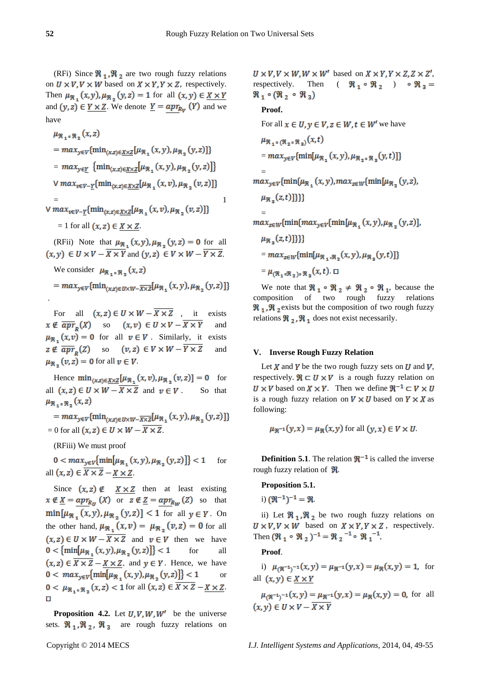(RFi) Since  $\Re_1$ ,  $\Re_2$  are two rough fuzzy relations on  $U \times V$ ,  $V \times W$  based on  $X \times Y$ ,  $Y \times Z$ , respectively. Then  $\mu_{\mathfrak{R}_1}(x,y), \mu_{\mathfrak{R}_2}(y,z) = 1$  for all  $(x,y) \in \underline{X \times Y}$ and  $(y, z) \in Y \times Z$ . We denote  $Y = app_{R_y}(Y)$  and we have

$$
\mu_{\mathfrak{R}_1 \circ \mathfrak{R}_2}(x, z)
$$
\n
$$
= max_{y \in V} \{ \min_{(x, z) \in \underline{X} \times \underline{Z}} [\mu_{\mathfrak{R}_1}(x, y), \mu_{\mathfrak{R}_2}(y, z)] \}
$$
\n
$$
= max_{y \in \underline{Y}} \{ \min_{(x, z) \in \underline{X} \times \underline{Z}} [\mu_{\mathfrak{R}_1}(x, y), \mu_{\mathfrak{R}_2}(y, z)] \}
$$
\n
$$
\vee max_{v \in V - \underline{Y}} \{ \min_{(x, z) \in \underline{X} \times \underline{Z}} [\mu_{\mathfrak{R}_1}(x, v), \mu_{\mathfrak{R}_2}(v, z)] \}
$$
\n
$$
= \nu \max_{v \in V - \underline{Y}} \{ \min_{(x, z) \in \underline{X} \times \underline{Z}} [\mu_{\mathfrak{R}_1}(x, v), \mu_{\mathfrak{R}_2}(v, z)] \}
$$
\n
$$
= 1 \text{ for all } (x, z) \in X \times Z.
$$

(RFii) Note that  $\mu_{\mathfrak{R}_+}(x,y), \mu_{\mathfrak{R}_+}(y,z) = 0$  for all  $(x, y) \in U \times V - \overline{X \times Y}$  and  $(y, z) \in V \times W - \overline{Y \times Z}$ .

We consider  $\mu_{\Re, \Phi, \Re} (x, z)$ 

$$
= max_{y \in V} \{ \min_{(x,z) \in U \times W - \overline{X \times Z}} [\mu_{\mathfrak{R}_1}(x, y), \mu_{\mathfrak{R}_2}(y, z)] \}
$$

For all  $(x, z) \in U \times W - \overline{X \times Z}$ , it exists  $x \notin \overline{apr}_p(X)$  so  $(x, v) \in U \times V - \overline{X \times Y}$  and  $\mu_{\Re}$ ,  $(x, v) = 0$  for all  $v \in V$ . Similarly, it exists  $z \notin \overline{apr}_n(Z)$  so  $(v, z) \in V \times W - \overline{Y \times Z}$  and  $\mu_{\mathfrak{R}_n}(v, z) = 0$  for all  $v \in V$ .

Hence  $\min_{(x,z)\in X\times Z}[\mu_{\Re} (x,v), \mu_{\Re} (v,z)] = 0$  for all  $(x, z) \in U \times W - \overline{X \times Z}$  and  $v \in V$ . So that  $\mu_{\Re_1 \circ \Re_2}(x, z)$ 

=  $max_{y \in V}$ {min<sub>(x,z)</sub>  $\in U \times W - \overline{X \times Z}$ [ $\mu_{\Re}$ <sub>1</sub> (x, y),  $\mu_{\Re}$ <sub>2</sub> (y,z)]}  $= 0$  for all  $(x, z) \in U \times W - \overline{X \times Z}$ .

(RFiii) We must proof

 $0 < max_{y \in V}$  {min  $[\mu_{\Re}(x, y), \mu_{\Re}(y, z)]$ } < 1 for all  $(x, z) \in \overline{X \times Z} - X \times Z$ .

Since  $(x, z) \notin X \times Z$  then at least existing  $x \notin \underline{X} = app_{R_{11}}(X)$  or  $z \notin \underline{Z} = app_{R_{11}}(Z)$  so that  $\min[\mu_{\mathfrak{R}_{1}}(x,y), \mu_{\mathfrak{R}_{2}}(y,z)] < 1$  for all  $y \in Y$ . On the other hand,  $\mu_{\Re}$ ,  $(x,v) = \mu_{\Re}$ ,  $(v,z) = 0$  for all  $(x, z) \in U \times W - \overline{X \times Z}$  and  $v \in V$  then we have  $0 < \{ \min[\mu_{\Re}](x, y), \mu_{\Re}](y, z) \} < 1$ for all  $(x, z) \in \overline{X \times Z} - X \times Z$ , and  $y \in Y$ . Hence, we have  $0 < max_{y \in V}$ {min[ $\mu_{\Re}$ ,  $(x, y), \mu_{\Re}$ ,  $(y, z)$ ]} < 1 or  $0 < \mu_{\Re, \Phi, \Re}$ ,  $(x, z) < 1$  for all  $(x, z) \in \overline{X \times Z} - X \times Z$ .  $\Box$ 

**Proposition 4.2.** Let  $U, V, W, W'$  be the universe sets.  $\mathcal{R}_1$ ,  $\mathcal{R}_2$ ,  $\mathcal{R}_3$  are rough fuzzy relations on  $U \times V$ ,  $V \times W$ ,  $W \times W'$  based on  $X \times Y$ ,  $Y \times Z$ ,  $Z \times Z'$ , respectively. Then  $( \Re_1 \circ \Re_2 ) \circ \Re_3 =$  $\Re_1 \circ (\Re_2 \circ \Re_3)$ 

## **Proof.**

For all 
$$
x \in U, y \in V, z \in W, t \in W'
$$
 we have  
\n
$$
\mu_{\mathfrak{N}_1 \circ (\mathfrak{N}_2 \circ \mathfrak{N}_3)}(x,t)
$$
\n
$$
= max_{y \in V} \{\min[\mu_{\mathfrak{N}_1}(x,y), \mu_{\mathfrak{N}_2 \circ \mathfrak{N}_3}(y,t)]\}
$$
\n
$$
= max_{y \in V} \{\min[\mu_{\mathfrak{N}_1}(x,y), max_{z \in W} \{\min[\mu_{\mathfrak{N}_2}(y,z), \mu_{\mathfrak{N}_3}(z,t)]\} \}]
$$
\n
$$
= max_{z \in W} \{\min\{max_{y \in V} \{\min[\mu_{\mathfrak{N}_1}(x,y), \mu_{\mathfrak{N}_2}(y,z)]\}, \mu_{\mathfrak{N}_3}(z,t)]\} \}]
$$
\n
$$
= max_{z \in W} \{\min[\mu_{\mathfrak{N}_1 \circ \mathfrak{N}_2}(x,y), \mu_{\mathfrak{N}_3}(y,t)]\}
$$
\n
$$
= \mu_{(\mathfrak{N}_1 \circ \mathfrak{N}_2) \circ \mathfrak{N}_3}(x,t). \Box
$$

We note that  $\Re_1 \circ \Re_2 \neq \Re_2 \circ \Re_1$ , because the composition of two rough fuzzy relations  $\Re_1$ ,  $\Re_2$  exists but the composition of two rough fuzzy relations  $\Re_2$ ,  $\Re_1$  does not exist necessarily.

#### **V. Inverse Rough Fuzzy Relation**

Let X and Y be the two rough fuzzy sets on U and V, respectively.  $\mathcal{R} \subset U \times V$  is a rough fuzzy relation on  $U \times V$  based on  $X \times Y$ . Then we define  $\mathbb{R}^{-1} \subset V \times U$ is a rough fuzzy relation on  $V \times U$  based on  $Y \times X$  as following:

$$
\mu_{\mathfrak{R}^{-1}}(y, x) = \mu_{\mathfrak{R}}(x, y) \text{ for all } (y, x) \in V \times U.
$$

**Definition 5.1**. The relation  $\mathbb{R}^{-1}$  is called the inverse rough fuzzy relation of  $\mathcal{R}$ .

# **Proposition 5.1.**

i)  $(\Re^{-1})^{-1} = \Re$ .

ii) Let  $\Re_1$ ,  $\Re_2$  be two rough fuzzy relations on  $U \times V$ ,  $V \times W$  based on  $X \times Y$ ,  $Y \times Z$ , respectively. Then  $(\Re_1 \circ \Re_2)^{-1} = \Re_2^{-1} \circ \Re_1^{-1}$ .

## **Proof**.

i)  $\mu_{0}x^{-1}y^{-1}(x, y) = \mu_{0}x^{-1}(y, x) = \mu_{0}x(x, y) = 1$ , for all  $(x, y) \in X \times Y$ 

 $\mu_{0}^{g^{-1}}(x, y) = \mu_{0}^{g^{-1}}(y, x) = \mu_{0}^{g^{-1}}(x, y) = 0$ , for all  $(x, y) \in U \times V - \overline{X \times Y}$ 

.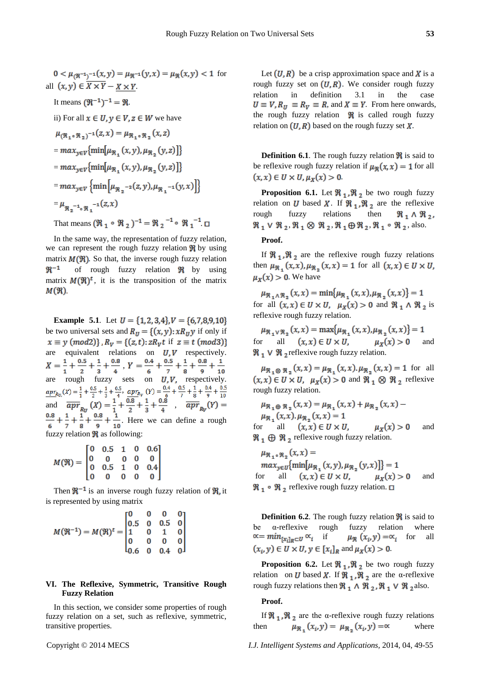$$
0 < \mu_{(\mathfrak{R}^{-1})^{-1}}(x, y) = \mu_{\mathfrak{R}^{-1}}(y, x) = \mu_{\mathfrak{R}}(x, y) < 1 \text{ for}
$$
\n
$$
\text{all } (x, y) \in \overline{X \times Y} - \underline{X \times Y}.
$$
\n
$$
\text{It means } (\mathfrak{R}^{-1})^{-1} = \mathfrak{R}.
$$
\n
$$
\text{ii) For all } x \in U, y \in V, z \in W \text{ we have}
$$
\n
$$
\mu_{(\mathfrak{R}_1 \circ \mathfrak{R}_2)^{-1}}(z, x) = \mu_{\mathfrak{R}_1 \circ \mathfrak{R}_2}(x, z)
$$
\n
$$
= \max_{y \in V} \{\min[\mu_{\mathfrak{R}_1}(x, y), \mu_{\mathfrak{R}_2}(y, z)]\}
$$
\n
$$
= \max_{y \in V} \{\min[\mu_{\mathfrak{R}_1}(x, y), \mu_{\mathfrak{R}_2}(y, z)]\}
$$
\n
$$
= \max_{y \in V} \{\min[\mu_{\mathfrak{R}_2^{-2}}(z, y), \mu_{\mathfrak{R}_1^{-1}}(y, x)]\}
$$
\n
$$
= \mu_{\mathfrak{R}_2^{-1} \circ \mathfrak{R}_1^{-1}}(z, x)
$$
\n
$$
\text{That means } (\mathfrak{R}_1 \circ \mathfrak{R}_2)^{-1} = \mathfrak{R}_2^{-1} \circ \mathfrak{R}_1^{-1} \square
$$

In the same way, the representation of fuzzy relation, we can represent the rough fuzzy relation  $\Re$  by using matrix  $M(\mathfrak{R})$ . So that, the inverse rough fuzzy relation  $\mathfrak{R}^{-1}$ of rough fuzzy relation  $\Re$  by using matrix  $M(\mathfrak{R})^t$ , it is the transposition of the matrix  $M(\mathfrak{R})$ .

**Example 5.1**. Let  $U = \{1, 2, 3, 4\}$ ,  $V = \{6, 7, 8, 9, 10\}$ be two universal sets and  $R_U = \{(x, y): xR_U y$  if only if  $x \equiv y \pmod{2}$ ,  $R_v = \{(z, t): zR_v t \text{ if } z \equiv t \pmod{3}\}$ are equivalent relations on  $U, V$  respectively. , are rough fuzzy sets on  $U, V$ , respectively. , and  $\overline{apr}_n(x) = \frac{1}{x} + \frac{0.6}{x} + \frac{1}{x} + \frac{0.6}{x}$ , . Here we can define a rough fuzzy relation  $\Re$  as following:

$$
M(\mathfrak{R}) = \begin{bmatrix} 0 & 0.5 & 1 & 0 & 0.6 \\ 0 & 0 & 0 & 0 & 0 \\ 0 & 0.5 & 1 & 0 & 0.4 \\ 0 & 0 & 0 & 0 & 0 \end{bmatrix}
$$

Then  $\mathbb{R}^{-1}$  is an inverse rough fuzzy relation of  $\mathbb{R}$  it is represented by using matrix

$$
M(\mathfrak{R}^{-1}) = M(\mathfrak{R})^t = \begin{bmatrix} 0 & 0 & 0 & 0 \\ 0.5 & 0 & 0.5 & 0 \\ 1 & 0 & 1 & 0 \\ 0 & 0 & 0 & 0 \\ 0.6 & 0 & 0.4 & 0 \end{bmatrix}
$$

### **VI. The Reflexive, Symmetric, Transitive Rough Fuzzy Relation**

In this section, we consider some properties of rough fuzzy relation on a set, such as reflexive, symmetric, transitive properties.

Let  $(U, R)$  be a crisp approximation space and X is a rough fuzzy set on  $(U, R)$ . We consider rough fuzzy relation in definition 3.1 in the case  $U \equiv V$ ,  $R_U \equiv R_V \equiv R$ , and  $X \equiv Y$ . From here onwards, the rough fuzzy relation  $\Re$  is called rough fuzzy relation on  $(U, R)$  based on the rough fuzzy set X.

**Definition 6.1**. The rough fuzzy relation  $\mathbb{R}$  is said to be reflexive rough fuzzy relation if  $\mu_{\mathcal{R}}(x, x) = 1$  for all  $(x, x) \in U \times U, \mu_X(x) > 0.$ 

**Proposition 6.1.** Let  $\mathbb{R}_1$ ,  $\mathbb{R}_2$  be two rough fuzzy relation on U based X. If  $\Re_1$ ,  $\Re_2$  are the reflexive rough fuzzy relations then  $\Re_1 \wedge \Re_2$  $\Re_1 \vee \Re_2$ ,  $\Re_1 \otimes \Re_2$ ,  $\Re_1 \oplus \Re_2$ ,  $\Re_1 \circ \Re_2$ , also.

# **Proof.**

If  $\mathcal{R}_1, \mathcal{R}_2$  are the reflexive rough fuzzy relations then  $\mu_{\Re}$ ,  $(x, x)$ ,  $\mu_{\Re}$ ,  $(x, x) = 1$  for all  $(x, x) \in U \times U$ ,  $\mu_X(x) > 0$ . We have

 $\mu_{\Re_1 \wedge \Re_2}(x, x) = \min{\mu_{\Re_1}(x, x), \mu_{\Re_2}(x, x)} = 1$ for all  $(x, x) \in U \times U$ ,  $\mu_X(x) > 0$  and  $\Re_1 \wedge \Re_2$  is reflexive rough fuzzy relation.

 $\mu_{\Re_1 \vee \Re_2}(x, x) = \max{\mu_{\Re_1}(x, x), \mu_{\Re_2}(x, x)} = 1$ for all  $(x, x) \in U \times U$ ,  $\mu_X(x) > 0$  and  $\Re_1 \vee \Re_2$  reflexive rough fuzzy relation.

 $\mu_{\Re_1 \otimes \Re_2}(x, x) = \mu_{\Re_1}(x, x) . \mu_{\Re_2}(x, x) = 1$  for all  $(x, x) \in U \times U$ ,  $\mu_X(x) > 0$  and  $\Re_1 \otimes \Re_2$  reflexive rough fuzzy relation.

$$
\mu_{\mathfrak{R}_1 \oplus \mathfrak{R}_2}(x, x) = \mu_{\mathfrak{R}_1}(x, x) + \mu_{\mathfrak{R}_2}(x, x) -
$$
  
\n
$$
\mu_{\mathfrak{R}_1}(x, x) \cdot \mu_{\mathfrak{R}_2}(x, x) = 1
$$
  
\nfor all  $(x, x) \in U \times U$ ,  $\mu_X(x) > 0$  and

 $\Re_1 \oplus \Re_2$  reflexive rough fuzzy relation.

 $\mu_{\Re, \Phi, \Re}$ ,  $(x, x)$  =  $max_{y \in U}$ [min[ $\mu_{\Re}$ , (x, y),  $\mu_{\Re}$ , (y, x)]]} = 1 for all  $(x, x) \in U \times U$ ,  $\mu_X(x) > 0$  and  $\Re_1 \circ \Re_2$  reflexive rough fuzzy relation.  $\Box$ 

**Definition 6.2.** The rough fuzzy relation  $\mathbb{R}$  is said to be α-reflexive rough fuzzy relation where  $\alpha = \min_{[x_i]_R \subset U} \alpha_i$  if  $\mu_{\Re}(x_i, y) = \alpha_i$  for all  $(x_i, y) \in U \times U$ ,  $y \in [x_i]_R$  and  $\mu_X(x) > 0$ .

**Proposition 6.2.** Let  $\mathbb{R}_1$ ,  $\mathbb{R}_2$  be two rough fuzzy relation on *U* based *X*. If  $\mathbb{R}_1$ ,  $\mathbb{R}_2$  are the α-reflexive rough fuzzy relations then  $\Re_1 \wedge \Re_2$ ,  $\Re_1 \vee \Re_2$  also.

#### **Proof.**

If  $\Re_1$ ,  $\Re_2$  are the  $\alpha$ -reflexive rough fuzzy relations then  $\mu_{\Re} (x_i, y) = \mu_{\Re} (x_i, y) = \alpha$  where

Copyright © 2014 MECS *I.J. Intelligent Systems and Applications,* 2014, 04, 49-55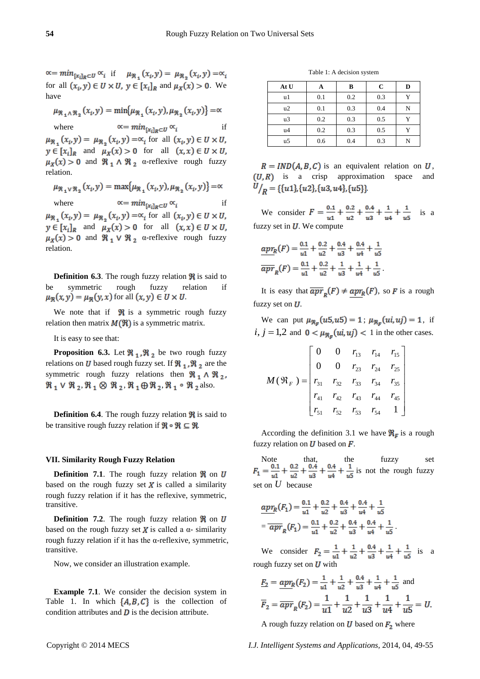$\alpha = \min_{[x_i]_R \subset U} \alpha_i$  if  $\mu_{\Re} (x_i, y) = \mu_{\Re} (x_i, y) = \alpha_i$ for all  $(x_i, y) \in U \times U$ ,  $y \in [x_i]_R$  and  $\mu_X(x) > 0$ . We have

$$
\mu_{\mathfrak{R}_1 \wedge \mathfrak{R}_2} (x_i, y) = \min \{ \mu_{\mathfrak{R}_1} (x_i, y), \mu_{\mathfrak{R}_2} (x_i, y) \} = \infty
$$

where  $\alpha = min_{[x_i]_B \subset U} \alpha_i$  if  $\mu_{\Re}$ ,  $(x_i, y) = \mu_{\Re}$ ,  $(x_i, y) = \alpha_i$  for all  $(x_i, y) \in U \times U$ ,  $y \in [x_i]_R$  and  $\mu_X(x) > 0$  for all  $(x, x) \in U \times U$ ,  $\mu_X(x) > 0$  and  $\Re_1 \wedge \Re_2$  α-reflexive rough fuzzy relation.

$$
\mu_{\mathfrak{R}_1 \vee \mathfrak{R}_2} (x_i, y) = \max \{ \mu_{\mathfrak{R}_1} (x_i, y), \mu_{\mathfrak{R}_2} (x_i, y) \} = \infty
$$

where  $\alpha = min_{[x_i]_R \subset U} \alpha_i$  if  $\mu_{\Re}$ ,  $(x_i, y) = \mu_{\Re}$ ,  $(x_i, y) = \alpha_i$  for all  $(x_i, y) \in U \times U$ ,  $y \in [x_i]_R$  and  $\mu_X(x) > 0$  for all  $(x, x) \in U \times U$ ,  $\mu_X(x) > 0$  and  $\Re_1 \vee \Re_2$  α-reflexive rough fuzzy relation.

**Definition 6.3**. The rough fuzzy relation  $\mathbb{R}$  is said to be symmetric rough fuzzy relation if  $\mu_{\mathfrak{R}}(x, y) = \mu_{\mathfrak{R}}(y, x)$  for all  $(x, y) \in U \times U$ .

We note that if  $\mathbb R$  is a symmetric rough fuzzy relation then matrix  $M(\mathbb{R})$  is a symmetric matrix.

It is easy to see that:

**Proposition 6.3.** Let  $\mathbb{R}_1$ ,  $\mathbb{R}_2$  be two rough fuzzy relations on *U* based rough fuzzy set. If  $\mathcal{R}_1$ ,  $\mathcal{R}_2$  are the symmetric rough fuzzy relations then  $\Re_1 \wedge \Re_2$ ,  $\Re_1 \vee \Re_2$ ,  $\Re_1 \otimes \Re_2$ ,  $\Re_1 \oplus \Re_2$ ,  $\Re_1 \circ \Re_2$  also.

**Definition 6.4**. The rough fuzzy relation  $\mathbb{R}$  is said to be transitive rough fuzzy relation if  $\mathfrak{R} \circ \mathfrak{R} \subseteq \mathfrak{R}$ .

#### **VII. Similarity Rough Fuzzy Relation**

**Definition 7.1**. The rough fuzzy relation  $\Re$  on  $U$ based on the rough fuzzy set  $\boldsymbol{X}$  is called a similarity rough fuzzy relation if it has the reflexive, symmetric, transitive.

**Definition 7.2.** The rough fuzzy relation  $\mathbb{R}$  on  $U$ based on the rough fuzzy set X is called a  $\alpha$ - similarity rough fuzzy relation if it has the α-reflexive, symmetric, transitive.

Now, we consider an illustration example.

**Example 7.1**. We consider the decision system in Table 1. In which  $\{A, B, C\}$  is the collection of condition attributes and  $\boldsymbol{D}$  is the decision attribute.

Table 1: A decision system

| At U |     | B   | C   | D |
|------|-----|-----|-----|---|
| u1   | 0.1 | 0.2 | 0.3 | v |
| u2   | 0.1 | 0.3 | 0.4 | N |
| u3   | 0.2 | 0.3 | 0.5 |   |
| u4   | 0.2 | 0.3 | 0.5 |   |
| u5   | 0.6 | 0.4 | 0.3 | N |

 $R = IND(A, B, C)$  is an equivalent relation on U,  $(U, R)$  is a crisp approximation space and  $U\left\vert_{R}=\{\{u1\},\{u2\},\{u3,u4\},\{u5\}\}\right\vert$ 

We consider  $F = \frac{0.1}{u_1} + \frac{0.2}{u_2} + \frac{0.4}{u_3} + \frac{1}{u_4} + \frac{1}{u_5}$  is a fuzzy set in  $U$ . We compute

$$
\frac{apr_R(F) = \frac{0.1}{u1} + \frac{0.2}{u2} + \frac{0.4}{u3} + \frac{0.4}{u4} + \frac{1}{u5}
$$

$$
\overline{apr}_R(F) = \frac{0.1}{u1} + \frac{0.2}{u2} + \frac{1}{u3} + \frac{1}{u4} + \frac{1}{u5}
$$

It is easy that  $\overline{apr}_p(F) \neq apr_R(F)$ , so F is a rough fuzzy set on  $U$ .

We can put  $\mu_{\Re_{\mathcal{F}}}(u5, u5) = 1$ ;  $\mu_{\Re_{\mathcal{F}}}(ui, uj) = 1$ , if  $i, j = 1,2$  and  $0 < \mu_{\Re_{\pi}}(ui, uj) < 1$  in the other cases.

$$
M(\mathfrak{R}_F) = \begin{bmatrix} 0 & 0 & r_{13} & r_{14} & r_{15} \\ 0 & 0 & r_{23} & r_{24} & r_{25} \\ r_{31} & r_{32} & r_{33} & r_{34} & r_{35} \\ r_{41} & r_{42} & r_{43} & r_{44} & r_{45} \\ r_{51} & r_{52} & r_{53} & r_{54} & 1 \end{bmatrix}
$$

According the definition 3.1 we have  $\mathbf{\Re}_{\mathbf{F}}$  is a rough fuzzy relation on  $U$  based on  $F$ .

Note that, the fuzzy set is not the rough fuzzy set on *U* because

$$
\frac{apr_R(F_1) = \frac{0.1}{u1} + \frac{0.2}{u2} + \frac{0.4}{u3} + \frac{0.4}{u4} + \frac{1}{u5}
$$

$$
= \overline{apr}_R(F_1) = \frac{0.1}{u1} + \frac{0.2}{u2} + \frac{0.4}{u3} + \frac{0.4}{u4} + \frac{1}{u5}.
$$

We consider  $F_2 = \frac{1}{u1} + \frac{1}{u2} + \frac{0.4}{u3} + \frac{1}{u4} + \frac{1}{u5}$  is a rough fuzzy set on  $U$  with

$$
\underline{F_2} = \underline{apr_R(F_2)} = \frac{1}{u1} + \frac{1}{u2} + \frac{0.4}{u3} + \frac{1}{u4} + \frac{1}{u5} \text{ and}
$$
  

$$
\overline{F_2} = \overline{apr_R(F_2)} = \frac{1}{u1} + \frac{1}{u2} + \frac{1}{u3} + \frac{1}{u4} + \frac{1}{u5} = U.
$$

A rough fuzzy relation on  $U$  based on  $F_2$  where